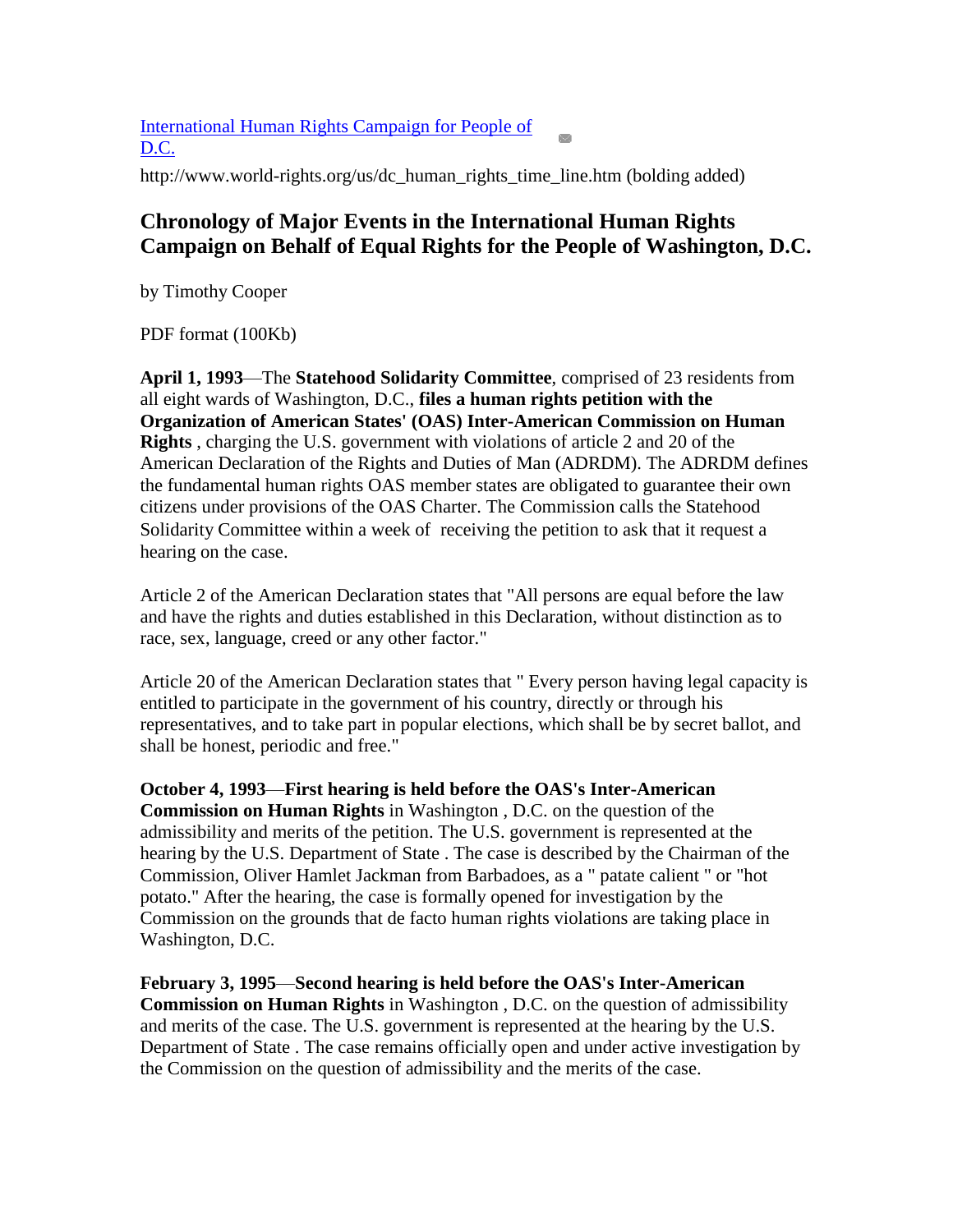[International Human Rights Campaign for People of](http://dcstatehoodyeswecan.org/j/index.php?option=com_content&view=article&id=252:international-human-rights-campaign-for-people-of-dc&catid=93:other)   $D.C.$ 

http://www.world-rights.org/us/dc\_human\_rights\_time\_line.htm (bolding added)

## **Chronology of Major Events in the International Human Rights Campaign on Behalf of Equal Rights for the People of Washington, D.C.**

by Timothy Cooper

PDF format (100Kb)

**April 1, 1993**—The **Statehood Solidarity Committee**, comprised of 23 residents from all eight wards of Washington, D.C., **files a human rights petition with the Organization of American States' (OAS) Inter-American Commission on Human Rights** , charging the U.S. government with violations of article 2 and 20 of the American Declaration of the Rights and Duties of Man (ADRDM). The ADRDM defines the fundamental human rights OAS member states are obligated to guarantee their own citizens under provisions of the OAS Charter. The Commission calls the Statehood Solidarity Committee within a week of receiving the petition to ask that it request a hearing on the case.

Article 2 of the American Declaration states that "All persons are equal before the law and have the rights and duties established in this Declaration, without distinction as to race, sex, language, creed or any other factor."

Article 20 of the American Declaration states that " Every person having legal capacity is entitled to participate in the government of his country, directly or through his representatives, and to take part in popular elections, which shall be by secret ballot, and shall be honest, periodic and free."

**October 4, 1993**—**First hearing is held before the OAS's Inter-American Commission on Human Rights** in Washington , D.C. on the question of the admissibility and merits of the petition. The U.S. government is represented at the hearing by the U.S. Department of State . The case is described by the Chairman of the Commission, Oliver Hamlet Jackman from Barbadoes, as a " patate calient " or "hot potato." After the hearing, the case is formally opened for investigation by the Commission on the grounds that de facto human rights violations are taking place in Washington, D.C.

**February 3, 1995**—**Second hearing is held before the OAS's Inter-American Commission on Human Rights** in Washington , D.C. on the question of admissibility and merits of the case. The U.S. government is represented at the hearing by the U.S. Department of State . The case remains officially open and under active investigation by the Commission on the question of admissibility and the merits of the case.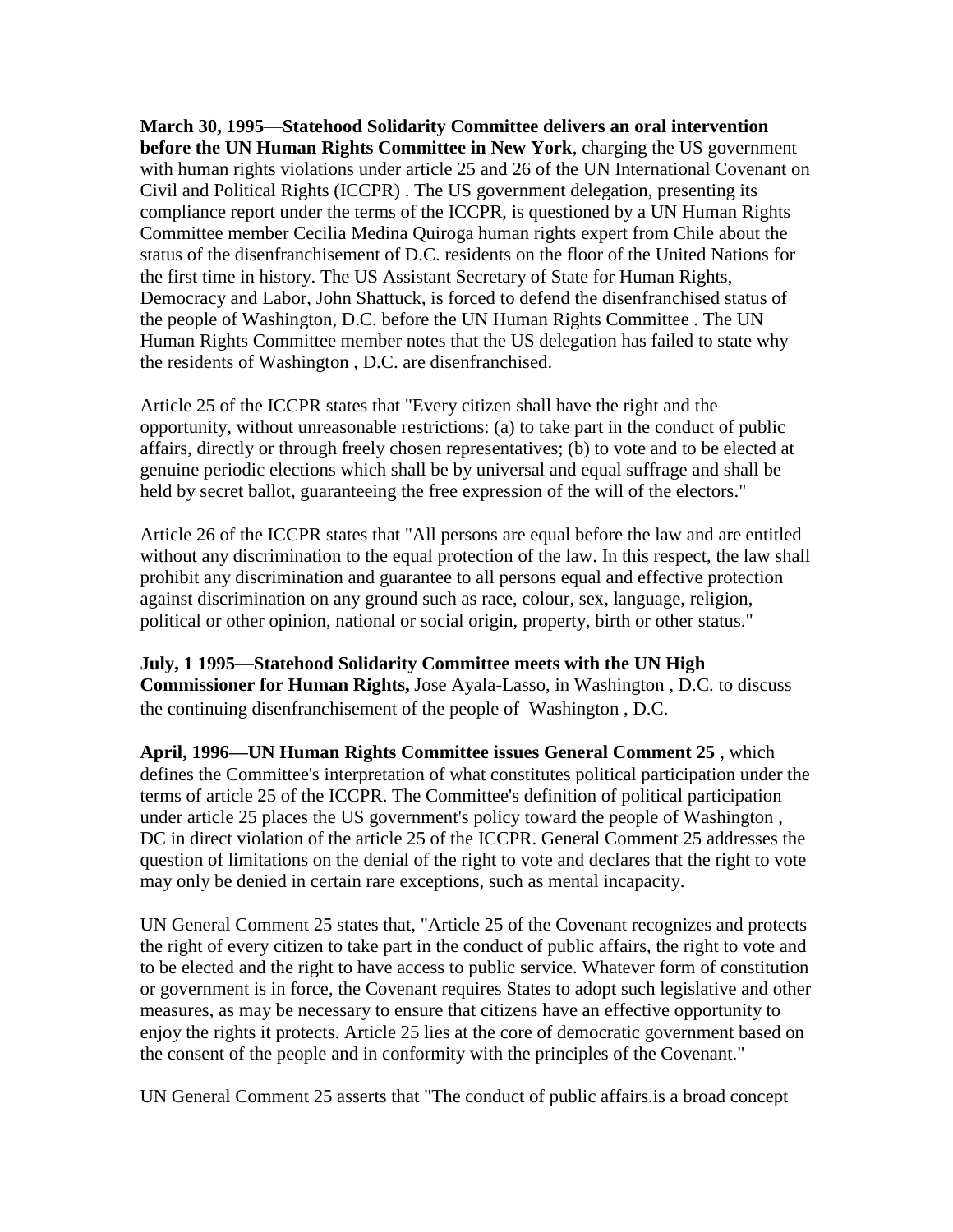**March 30, 1995**—**Statehood Solidarity Committee delivers an oral intervention before the UN Human Rights Committee in New York**, charging the US government with human rights violations under article 25 and 26 of the UN International Covenant on Civil and Political Rights (ICCPR) . The US government delegation, presenting its compliance report under the terms of the ICCPR, is questioned by a UN Human Rights Committee member Cecilia Medina Quiroga human rights expert from Chile about the status of the disenfranchisement of D.C. residents on the floor of the United Nations for the first time in history. The US Assistant Secretary of State for Human Rights, Democracy and Labor, John Shattuck, is forced to defend the disenfranchised status of the people of Washington, D.C. before the UN Human Rights Committee . The UN Human Rights Committee member notes that the US delegation has failed to state why the residents of Washington , D.C. are disenfranchised.

Article 25 of the ICCPR states that "Every citizen shall have the right and the opportunity, without unreasonable restrictions: (a) to take part in the conduct of public affairs, directly or through freely chosen representatives; (b) to vote and to be elected at genuine periodic elections which shall be by universal and equal suffrage and shall be held by secret ballot, guaranteeing the free expression of the will of the electors."

Article 26 of the ICCPR states that "All persons are equal before the law and are entitled without any discrimination to the equal protection of the law. In this respect, the law shall prohibit any discrimination and guarantee to all persons equal and effective protection against discrimination on any ground such as race, colour, sex, language, religion, political or other opinion, national or social origin, property, birth or other status."

**July, 1 1995**—**Statehood Solidarity Committee meets with the UN High Commissioner for Human Rights,** Jose Ayala-Lasso, in Washington , D.C. to discuss the continuing disenfranchisement of the people of Washington , D.C.

**April, 1996—UN Human Rights Committee issues General Comment 25** , which defines the Committee's interpretation of what constitutes political participation under the terms of article 25 of the ICCPR. The Committee's definition of political participation under article 25 places the US government's policy toward the people of Washington , DC in direct violation of the article 25 of the ICCPR. General Comment 25 addresses the question of limitations on the denial of the right to vote and declares that the right to vote may only be denied in certain rare exceptions, such as mental incapacity.

UN General Comment 25 states that, "Article 25 of the Covenant recognizes and protects the right of every citizen to take part in the conduct of public affairs, the right to vote and to be elected and the right to have access to public service. Whatever form of constitution or government is in force, the Covenant requires States to adopt such legislative and other measures, as may be necessary to ensure that citizens have an effective opportunity to enjoy the rights it protects. Article 25 lies at the core of democratic government based on the consent of the people and in conformity with the principles of the Covenant."

UN General Comment 25 asserts that "The conduct of public affairs.is a broad concept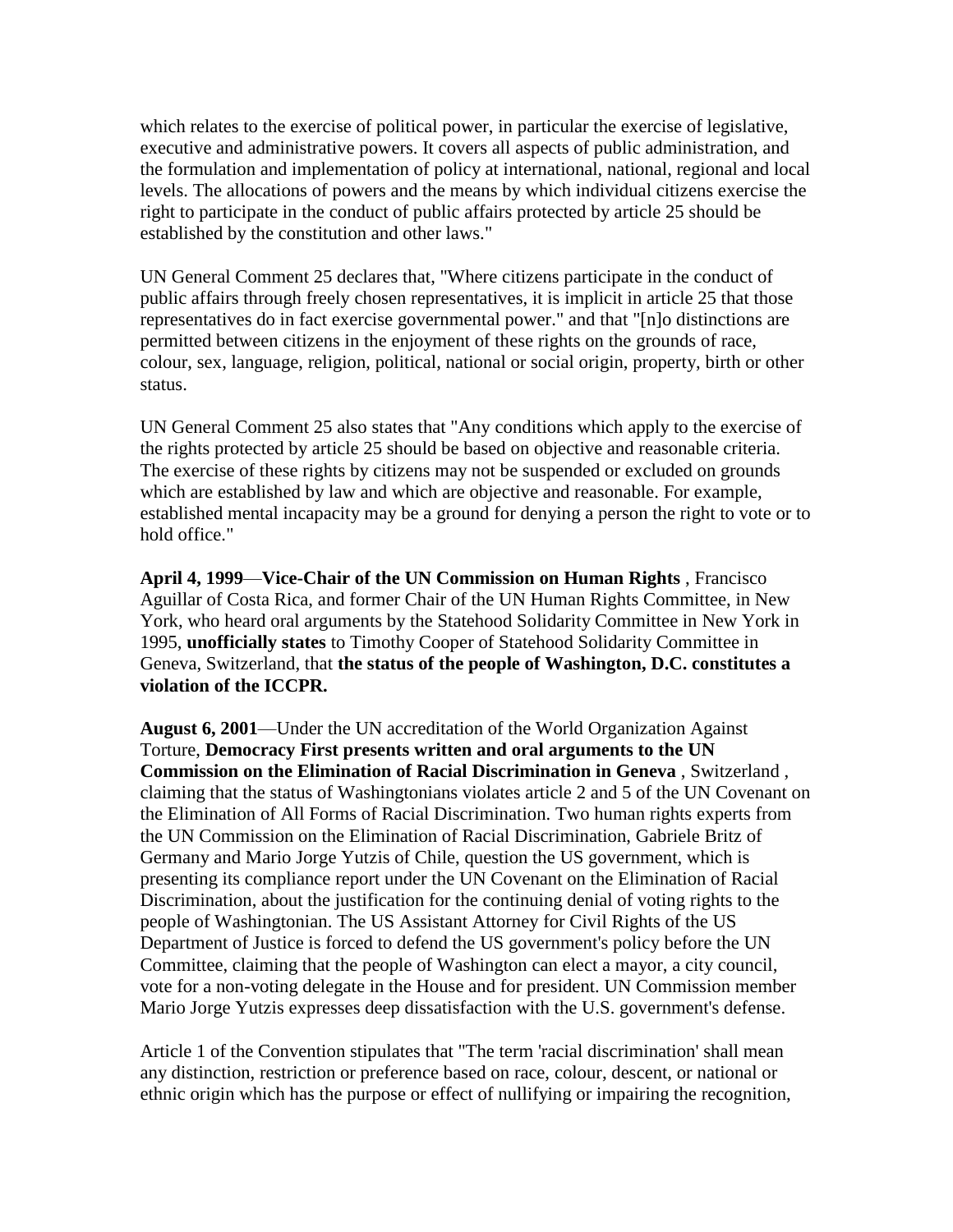which relates to the exercise of political power, in particular the exercise of legislative, executive and administrative powers. It covers all aspects of public administration, and the formulation and implementation of policy at international, national, regional and local levels. The allocations of powers and the means by which individual citizens exercise the right to participate in the conduct of public affairs protected by article 25 should be established by the constitution and other laws."

UN General Comment 25 declares that, "Where citizens participate in the conduct of public affairs through freely chosen representatives, it is implicit in article 25 that those representatives do in fact exercise governmental power." and that "[n]o distinctions are permitted between citizens in the enjoyment of these rights on the grounds of race, colour, sex, language, religion, political, national or social origin, property, birth or other status.

UN General Comment 25 also states that "Any conditions which apply to the exercise of the rights protected by article 25 should be based on objective and reasonable criteria. The exercise of these rights by citizens may not be suspended or excluded on grounds which are established by law and which are objective and reasonable. For example, established mental incapacity may be a ground for denying a person the right to vote or to hold office."

**April 4, 1999**—**Vice-Chair of the UN Commission on Human Rights** , Francisco Aguillar of Costa Rica, and former Chair of the UN Human Rights Committee, in New York, who heard oral arguments by the Statehood Solidarity Committee in New York in 1995, **unofficially states** to Timothy Cooper of Statehood Solidarity Committee in Geneva, Switzerland, that **the status of the people of Washington, D.C. constitutes a violation of the ICCPR.**

**August 6, 2001**—Under the UN accreditation of the World Organization Against Torture, **Democracy First presents written and oral arguments to the UN Commission on the Elimination of Racial Discrimination in Geneva** , Switzerland , claiming that the status of Washingtonians violates article 2 and 5 of the UN Covenant on the Elimination of All Forms of Racial Discrimination. Two human rights experts from the UN Commission on the Elimination of Racial Discrimination, Gabriele Britz of Germany and Mario Jorge Yutzis of Chile, question the US government, which is presenting its compliance report under the UN Covenant on the Elimination of Racial Discrimination, about the justification for the continuing denial of voting rights to the people of Washingtonian. The US Assistant Attorney for Civil Rights of the US Department of Justice is forced to defend the US government's policy before the UN Committee, claiming that the people of Washington can elect a mayor, a city council, vote for a non-voting delegate in the House and for president. UN Commission member Mario Jorge Yutzis expresses deep dissatisfaction with the U.S. government's defense.

Article 1 of the Convention stipulates that "The term 'racial discrimination' shall mean any distinction, restriction or preference based on race, colour, descent, or national or ethnic origin which has the purpose or effect of nullifying or impairing the recognition,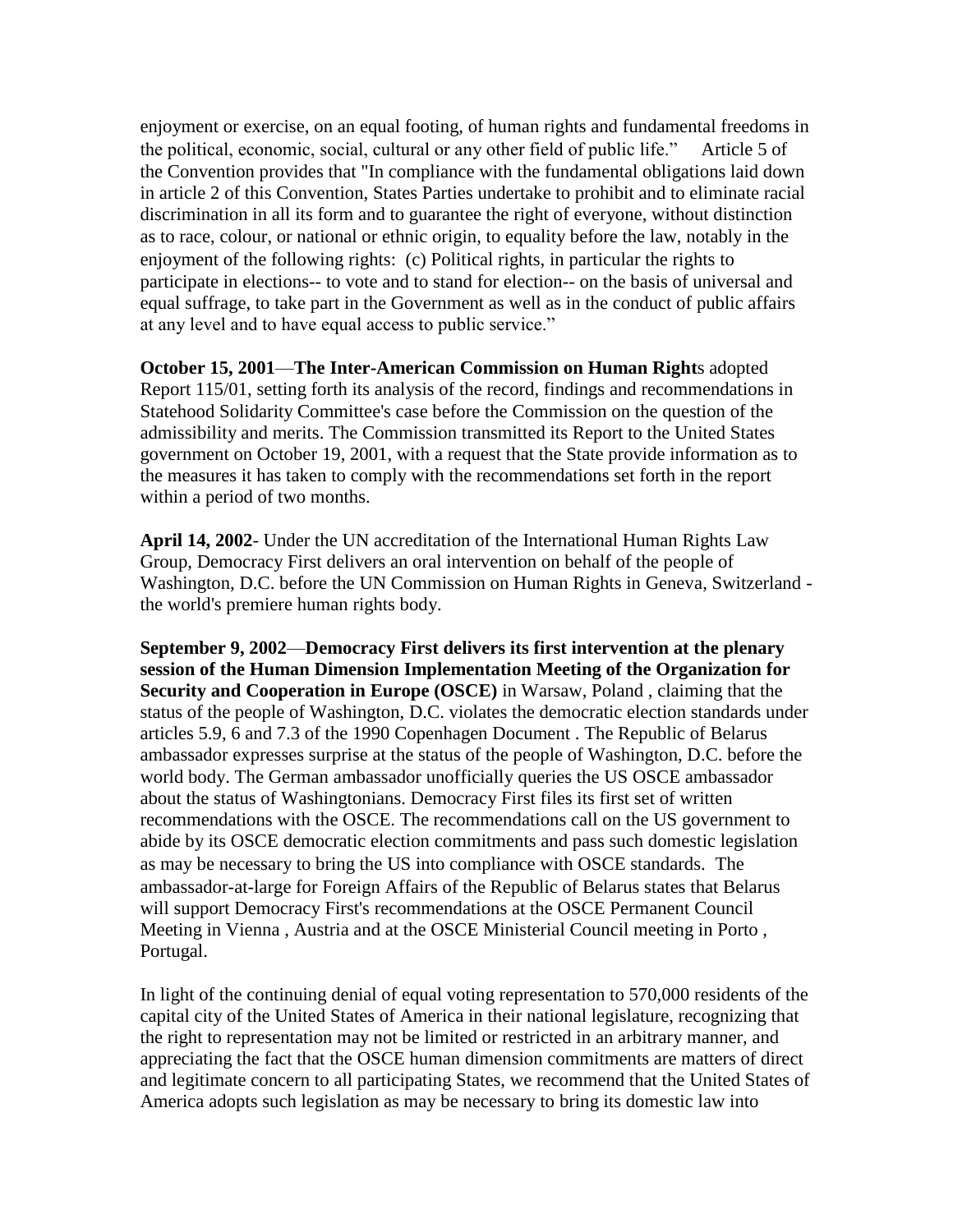enjoyment or exercise, on an equal footing, of human rights and fundamental freedoms in the political, economic, social, cultural or any other field of public life." Article 5 of the Convention provides that "In compliance with the fundamental obligations laid down in article 2 of this Convention, States Parties undertake to prohibit and to eliminate racial discrimination in all its form and to guarantee the right of everyone, without distinction as to race, colour, or national or ethnic origin, to equality before the law, notably in the enjoyment of the following rights: (c) Political rights, in particular the rights to participate in elections-- to vote and to stand for election-- on the basis of universal and equal suffrage, to take part in the Government as well as in the conduct of public affairs at any level and to have equal access to public service."

**October 15, 2001**—**The Inter-American Commission on Human Right**s adopted Report 115/01, setting forth its analysis of the record, findings and recommendations in Statehood Solidarity Committee's case before the Commission on the question of the admissibility and merits. The Commission transmitted its Report to the United States government on October 19, 2001, with a request that the State provide information as to the measures it has taken to comply with the recommendations set forth in the report within a period of two months.

**April 14, 2002**- Under the UN accreditation of the International Human Rights Law Group, Democracy First delivers an oral intervention on behalf of the people of Washington, D.C. before the UN Commission on Human Rights in Geneva, Switzerland the world's premiere human rights body.

**September 9, 2002**—**Democracy First delivers its first intervention at the plenary session of the Human Dimension Implementation Meeting of the Organization for Security and Cooperation in Europe (OSCE)** in Warsaw, Poland , claiming that the status of the people of Washington, D.C. violates the democratic election standards under articles 5.9, 6 and 7.3 of the 1990 Copenhagen Document . The Republic of Belarus ambassador expresses surprise at the status of the people of Washington, D.C. before the world body. The German ambassador unofficially queries the US OSCE ambassador about the status of Washingtonians. Democracy First files its first set of written recommendations with the OSCE. The recommendations call on the US government to abide by its OSCE democratic election commitments and pass such domestic legislation as may be necessary to bring the US into compliance with OSCE standards. The ambassador-at-large for Foreign Affairs of the Republic of Belarus states that Belarus will support Democracy First's recommendations at the OSCE Permanent Council Meeting in Vienna , Austria and at the OSCE Ministerial Council meeting in Porto , Portugal.

In light of the continuing denial of equal voting representation to 570,000 residents of the capital city of the United States of America in their national legislature, recognizing that the right to representation may not be limited or restricted in an arbitrary manner, and appreciating the fact that the OSCE human dimension commitments are matters of direct and legitimate concern to all participating States, we recommend that the United States of America adopts such legislation as may be necessary to bring its domestic law into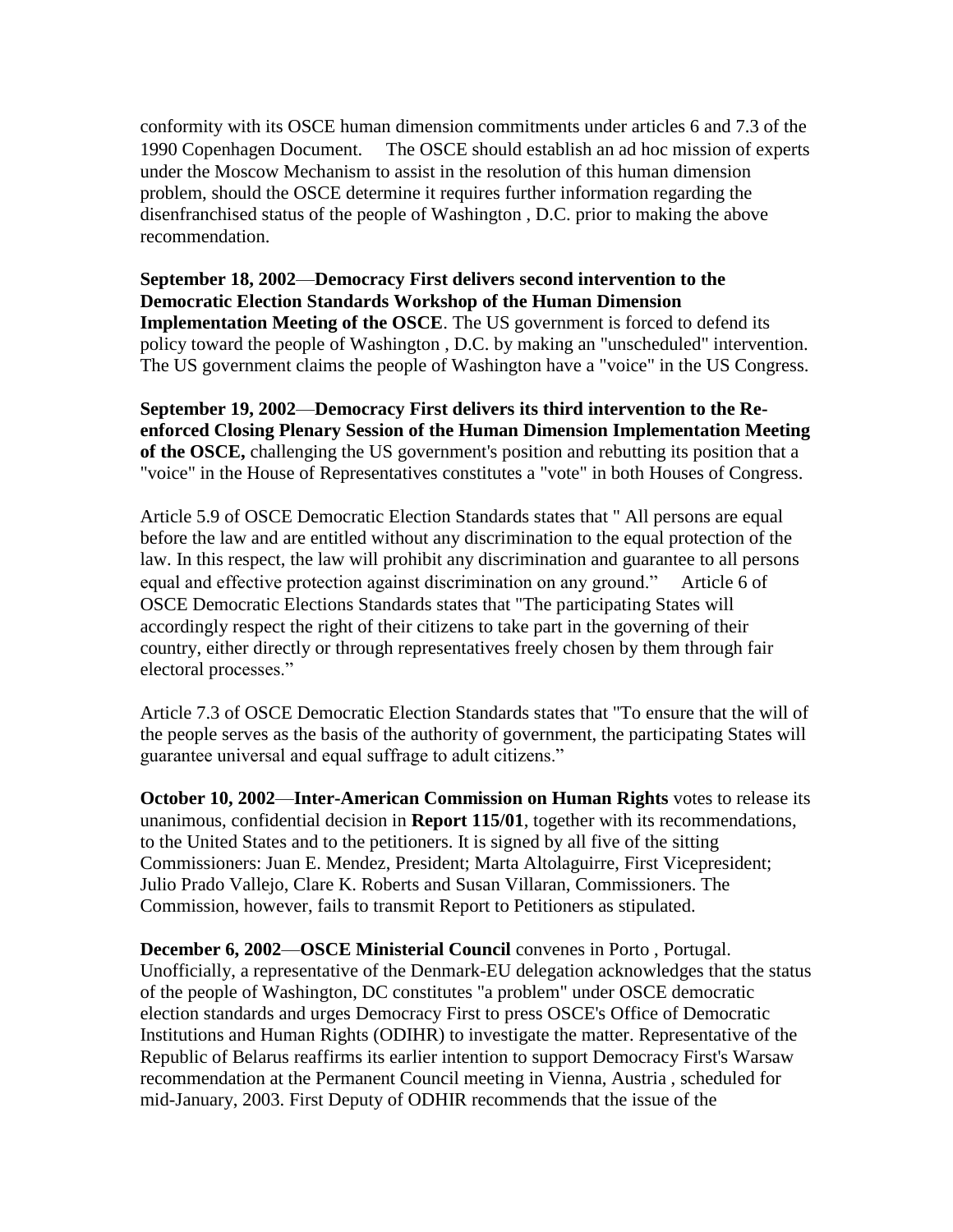conformity with its OSCE human dimension commitments under articles 6 and 7.3 of the 1990 Copenhagen Document. The OSCE should establish an ad hoc mission of experts under the Moscow Mechanism to assist in the resolution of this human dimension problem, should the OSCE determine it requires further information regarding the disenfranchised status of the people of Washington , D.C. prior to making the above recommendation.

**September 18, 2002**—**Democracy First delivers second intervention to the Democratic Election Standards Workshop of the Human Dimension Implementation Meeting of the OSCE**. The US government is forced to defend its policy toward the people of Washington , D.C. by making an "unscheduled" intervention. The US government claims the people of Washington have a "voice" in the US Congress.

**September 19, 2002**—**Democracy First delivers its third intervention to the Reenforced Closing Plenary Session of the Human Dimension Implementation Meeting of the OSCE,** challenging the US government's position and rebutting its position that a "voice" in the House of Representatives constitutes a "vote" in both Houses of Congress.

Article 5.9 of OSCE Democratic Election Standards states that " All persons are equal before the law and are entitled without any discrimination to the equal protection of the law. In this respect, the law will prohibit any discrimination and guarantee to all persons equal and effective protection against discrimination on any ground." Article 6 of OSCE Democratic Elections Standards states that "The participating States will accordingly respect the right of their citizens to take part in the governing of their country, either directly or through representatives freely chosen by them through fair electoral processes."

Article 7.3 of OSCE Democratic Election Standards states that "To ensure that the will of the people serves as the basis of the authority of government, the participating States will guarantee universal and equal suffrage to adult citizens."

**October 10, 2002**—**Inter-American Commission on Human Rights** votes to release its unanimous, confidential decision in **Report 115/01**, together with its recommendations, to the United States and to the petitioners. It is signed by all five of the sitting Commissioners: Juan E. Mendez, President; Marta Altolaguirre, First Vicepresident; Julio Prado Vallejo, Clare K. Roberts and Susan Villaran, Commissioners. The Commission, however, fails to transmit Report to Petitioners as stipulated.

**December 6, 2002**—**OSCE Ministerial Council** convenes in Porto , Portugal. Unofficially, a representative of the Denmark-EU delegation acknowledges that the status of the people of Washington, DC constitutes "a problem" under OSCE democratic election standards and urges Democracy First to press OSCE's Office of Democratic Institutions and Human Rights (ODIHR) to investigate the matter. Representative of the Republic of Belarus reaffirms its earlier intention to support Democracy First's Warsaw recommendation at the Permanent Council meeting in Vienna, Austria , scheduled for mid-January, 2003. First Deputy of ODHIR recommends that the issue of the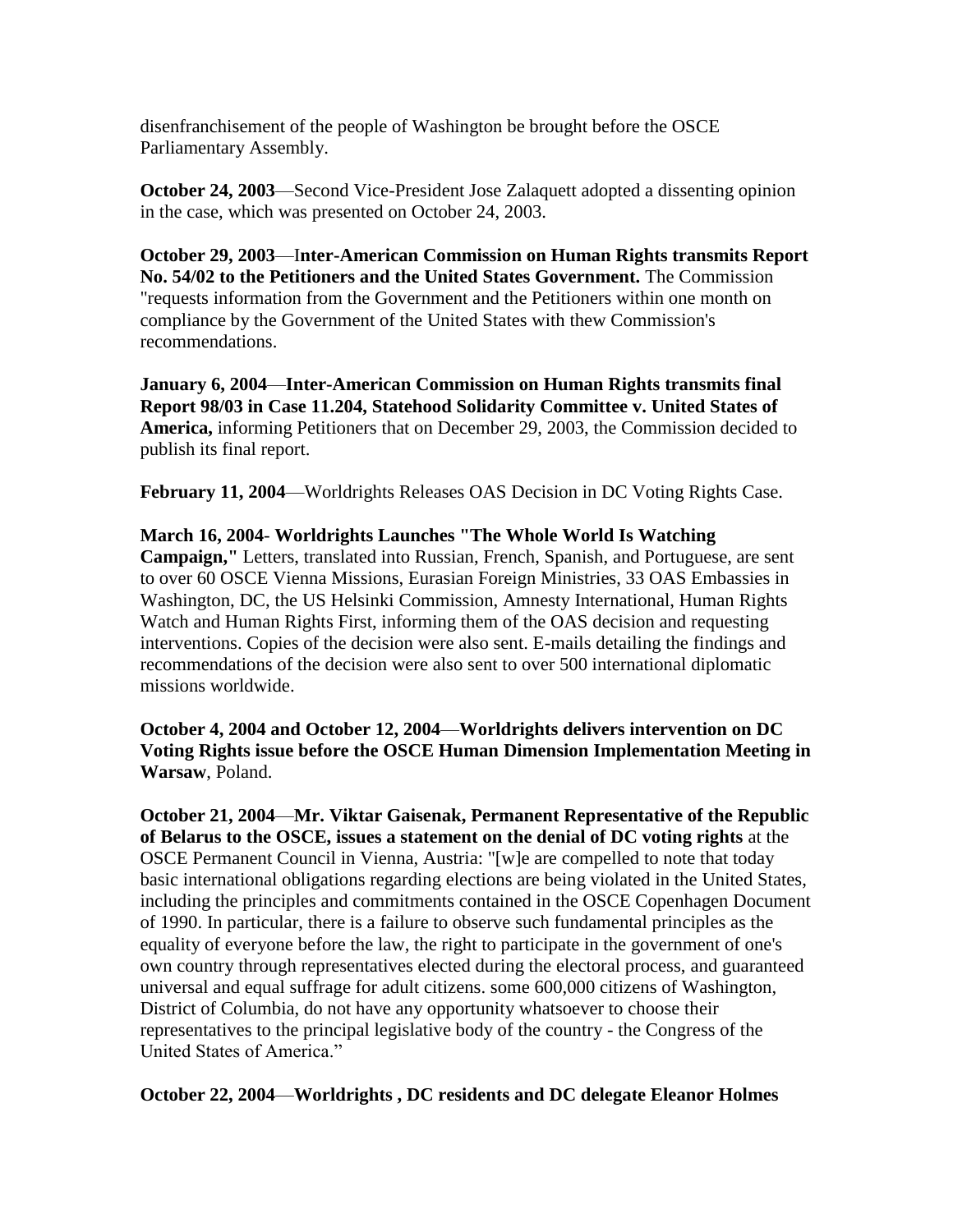disenfranchisement of the people of Washington be brought before the OSCE Parliamentary Assembly.

**October 24, 2003**—Second Vice-President Jose Zalaquett adopted a dissenting opinion in the case, which was presented on October 24, 2003.

**October 29, 2003**—I**nter-American Commission on Human Rights transmits Report No. 54/02 to the Petitioners and the United States Government.** The Commission "requests information from the Government and the Petitioners within one month on compliance by the Government of the United States with thew Commission's recommendations.

**January 6, 2004**—**Inter-American Commission on Human Rights transmits final Report 98/03 in Case 11.204, Statehood Solidarity Committee v. United States of America,** informing Petitioners that on December 29, 2003, the Commission decided to publish its final report.

**February 11, 2004**—Worldrights Releases OAS Decision in DC Voting Rights Case.

**March 16, 2004**- **Worldrights Launches "The Whole World Is Watching Campaign,"** Letters, translated into Russian, French, Spanish, and Portuguese, are sent to over 60 OSCE Vienna Missions, Eurasian Foreign Ministries, 33 OAS Embassies in Washington, DC, the US Helsinki Commission, Amnesty International, Human Rights Watch and Human Rights First, informing them of the OAS decision and requesting interventions. Copies of the decision were also sent. E-mails detailing the findings and recommendations of the decision were also sent to over 500 international diplomatic missions worldwide.

**October 4, 2004 and October 12, 2004**—**Worldrights delivers intervention on DC Voting Rights issue before the OSCE Human Dimension Implementation Meeting in Warsaw**, Poland.

**October 21, 2004**—**Mr. Viktar Gaisenak, Permanent Representative of the Republic of Belarus to the OSCE, issues a statement on the denial of DC voting rights** at the OSCE Permanent Council in Vienna, Austria: "[w]e are compelled to note that today basic international obligations regarding elections are being violated in the United States, including the principles and commitments contained in the OSCE Copenhagen Document of 1990. In particular, there is a failure to observe such fundamental principles as the equality of everyone before the law, the right to participate in the government of one's own country through representatives elected during the electoral process, and guaranteed universal and equal suffrage for adult citizens. some 600,000 citizens of Washington, District of Columbia, do not have any opportunity whatsoever to choose their representatives to the principal legislative body of the country - the Congress of the United States of America."

**October 22, 2004**—**Worldrights , DC residents and DC delegate Eleanor Holmes**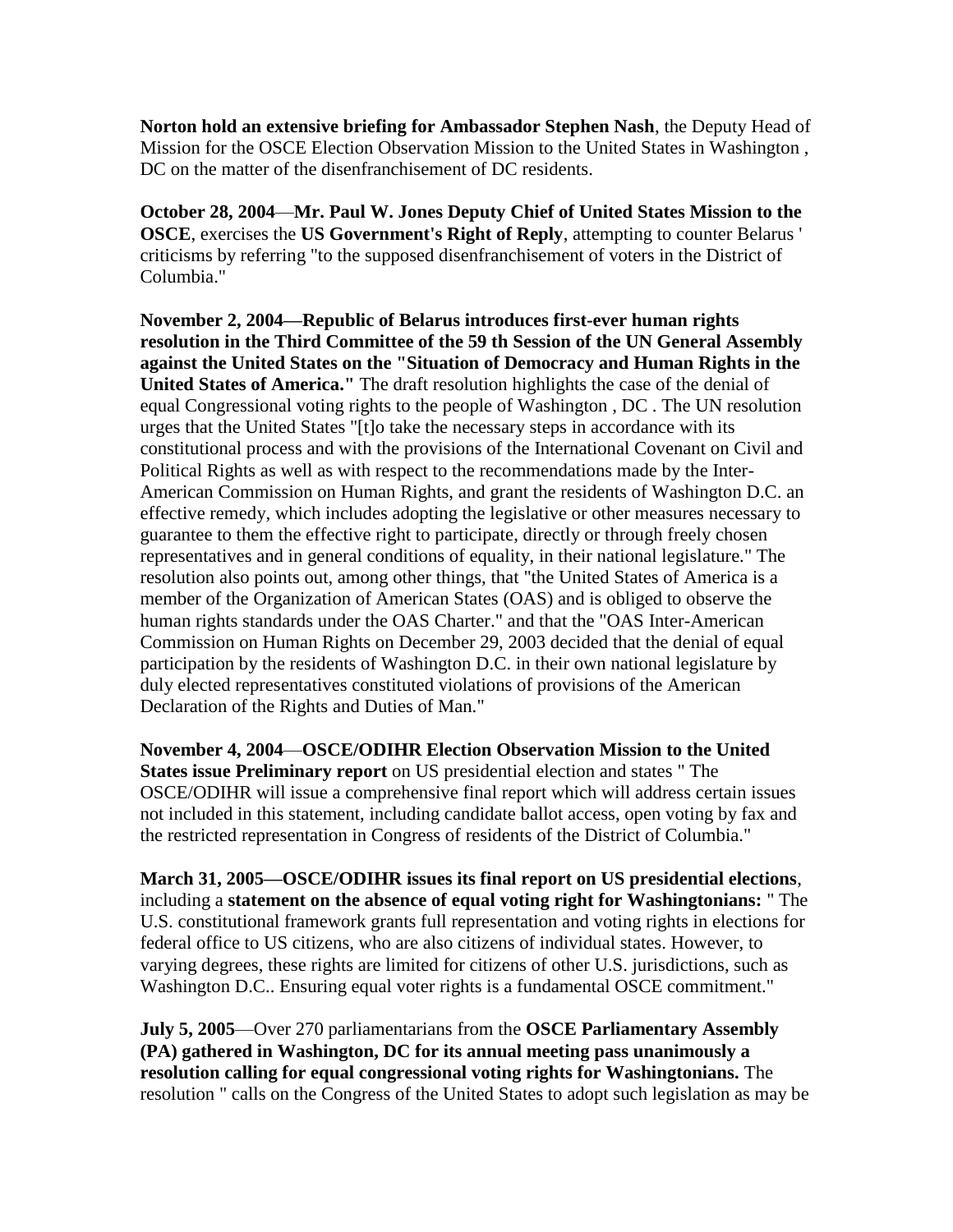**Norton hold an extensive briefing for Ambassador Stephen Nash**, the Deputy Head of Mission for the OSCE Election Observation Mission to the United States in Washington , DC on the matter of the disenfranchisement of DC residents.

**October 28, 2004**—**Mr. Paul W. Jones Deputy Chief of United States Mission to the OSCE**, exercises the **US Government's Right of Reply**, attempting to counter Belarus ' criticisms by referring "to the supposed disenfranchisement of voters in the District of Columbia."

**November 2, 2004—Republic of Belarus introduces first-ever human rights resolution in the Third Committee of the 59 th Session of the UN General Assembly against the United States on the "Situation of Democracy and Human Rights in the United States of America."** The draft resolution highlights the case of the denial of equal Congressional voting rights to the people of Washington , DC . The UN resolution urges that the United States "[t]o take the necessary steps in accordance with its constitutional process and with the provisions of the International Covenant on Civil and Political Rights as well as with respect to the recommendations made by the Inter-American Commission on Human Rights, and grant the residents of Washington D.C. an effective remedy, which includes adopting the legislative or other measures necessary to guarantee to them the effective right to participate, directly or through freely chosen representatives and in general conditions of equality, in their national legislature." The resolution also points out, among other things, that "the United States of America is a member of the Organization of American States (OAS) and is obliged to observe the human rights standards under the OAS Charter." and that the "OAS Inter-American Commission on Human Rights on December 29, 2003 decided that the denial of equal participation by the residents of Washington D.C. in their own national legislature by duly elected representatives constituted violations of provisions of the American Declaration of the Rights and Duties of Man."

**November 4, 2004**—**OSCE/ODIHR Election Observation Mission to the United States issue Preliminary report** on US presidential election and states " The OSCE/ODIHR will issue a comprehensive final report which will address certain issues not included in this statement, including candidate ballot access, open voting by fax and the restricted representation in Congress of residents of the District of Columbia."

**March 31, 2005—OSCE/ODIHR issues its final report on US presidential elections**, including a **statement on the absence of equal voting right for Washingtonians:** " The U.S. constitutional framework grants full representation and voting rights in elections for federal office to US citizens, who are also citizens of individual states. However, to varying degrees, these rights are limited for citizens of other U.S. jurisdictions, such as Washington D.C.. Ensuring equal voter rights is a fundamental OSCE commitment."

**July 5, 2005**—Over 270 parliamentarians from the **OSCE Parliamentary Assembly (PA) gathered in Washington, DC for its annual meeting pass unanimously a resolution calling for equal congressional voting rights for Washingtonians.** The resolution " calls on the Congress of the United States to adopt such legislation as may be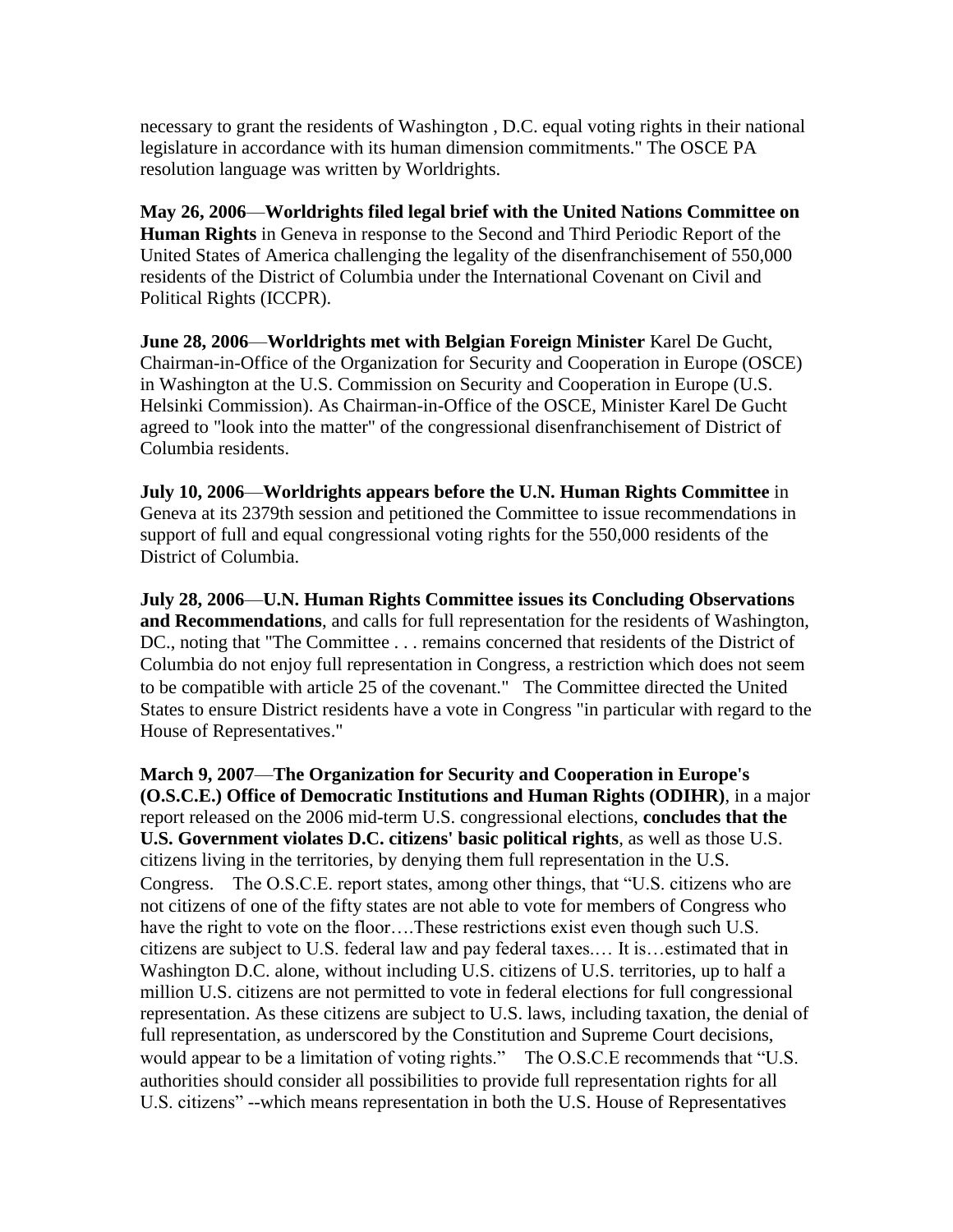necessary to grant the residents of Washington , D.C. equal voting rights in their national legislature in accordance with its human dimension commitments." The OSCE PA resolution language was written by Worldrights.

**May 26, 2006**—**Worldrights filed legal brief with the United Nations Committee on Human Rights** in Geneva in response to the Second and Third Periodic Report of the United States of America challenging the legality of the disenfranchisement of 550,000 residents of the District of Columbia under the International Covenant on Civil and Political Rights (ICCPR).

**June 28, 2006**—**Worldrights met with Belgian Foreign Minister** Karel De Gucht, Chairman-in-Office of the Organization for Security and Cooperation in Europe (OSCE) in Washington at the U.S. Commission on Security and Cooperation in Europe (U.S. Helsinki Commission). As Chairman-in-Office of the OSCE, Minister Karel De Gucht agreed to "look into the matter" of the congressional disenfranchisement of District of Columbia residents.

**July 10, 2006**—**Worldrights appears before the U.N. Human Rights Committee** in Geneva at its 2379th session and petitioned the Committee to issue recommendations in support of full and equal congressional voting rights for the 550,000 residents of the District of Columbia.

**July 28, 2006**—**U.N. Human Rights Committee issues its Concluding Observations and Recommendations**, and calls for full representation for the residents of Washington, DC., noting that "The Committee . . . remains concerned that residents of the District of Columbia do not enjoy full representation in Congress, a restriction which does not seem to be compatible with article 25 of the covenant." The Committee directed the United States to ensure District residents have a vote in Congress "in particular with regard to the House of Representatives."

**March 9, 2007**—**The Organization for Security and Cooperation in Europe's (O.S.C.E.) Office of Democratic Institutions and Human Rights (ODIHR)**, in a major report released on the 2006 mid-term U.S. congressional elections, **concludes that the U.S. Government violates D.C. citizens' basic political rights**, as well as those U.S. citizens living in the territories, by denying them full representation in the U.S. Congress. The O.S.C.E. report states, among other things, that "U.S. citizens who are not citizens of one of the fifty states are not able to vote for members of Congress who have the right to vote on the floor….These restrictions exist even though such U.S. citizens are subject to U.S. federal law and pay federal taxes.… It is…estimated that in Washington D.C. alone, without including U.S. citizens of U.S. territories, up to half a million U.S. citizens are not permitted to vote in federal elections for full congressional representation. As these citizens are subject to U.S. laws, including taxation, the denial of full representation, as underscored by the Constitution and Supreme Court decisions, would appear to be a limitation of voting rights." The O.S.C.E recommends that "U.S. authorities should consider all possibilities to provide full representation rights for all U.S. citizens" --which means representation in both the U.S. House of Representatives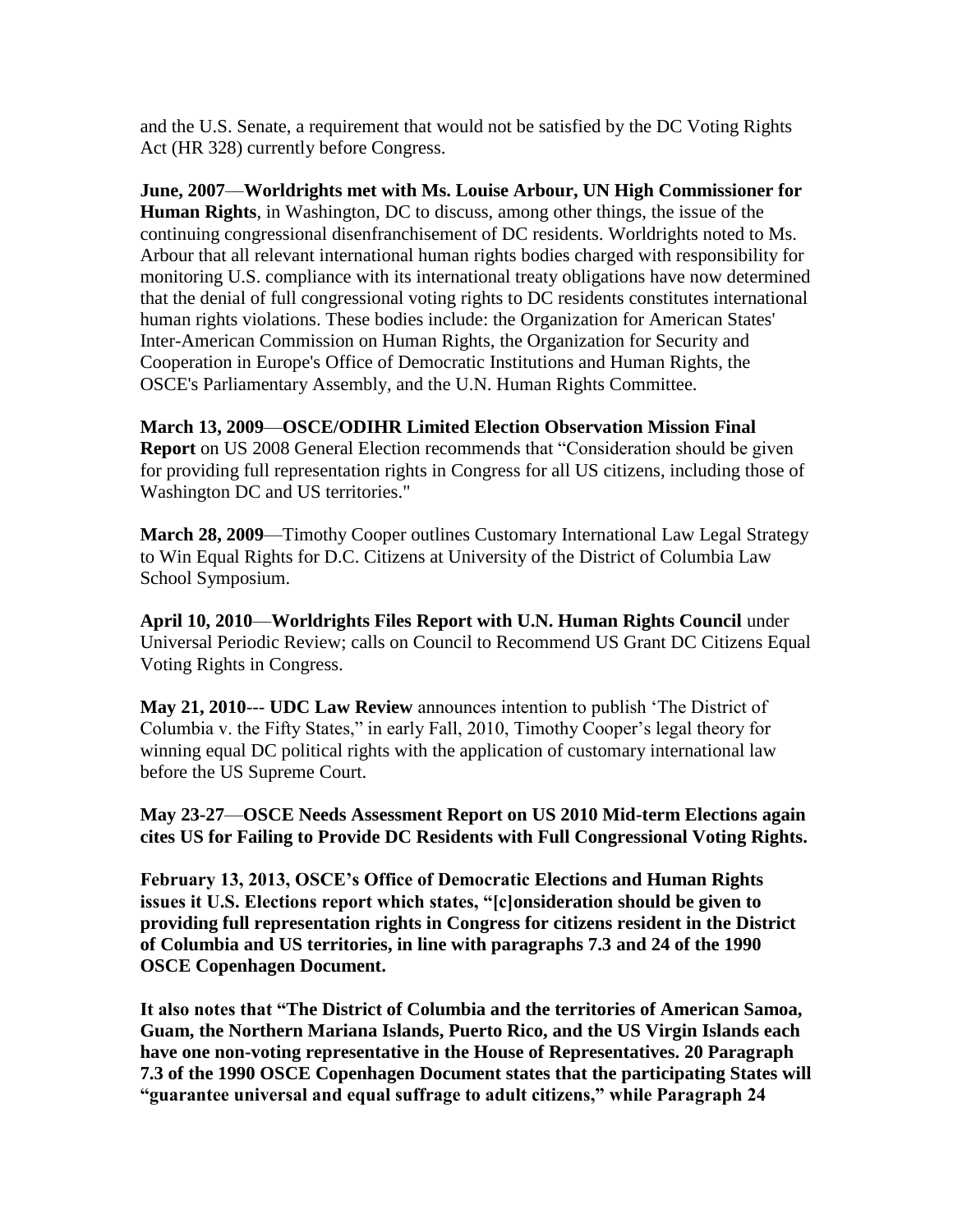and the U.S. Senate, a requirement that would not be satisfied by the DC Voting Rights Act (HR 328) currently before Congress.

**June, 2007**—**Worldrights met with Ms. Louise Arbour, UN High Commissioner for Human Rights**, in Washington, DC to discuss, among other things, the issue of the continuing congressional disenfranchisement of DC residents. Worldrights noted to Ms. Arbour that all relevant international human rights bodies charged with responsibility for monitoring U.S. compliance with its international treaty obligations have now determined that the denial of full congressional voting rights to DC residents constitutes international human rights violations. These bodies include: the Organization for American States' Inter-American Commission on Human Rights, the Organization for Security and Cooperation in Europe's Office of Democratic Institutions and Human Rights, the OSCE's Parliamentary Assembly, and the U.N. Human Rights Committee.

**March 13, 2009**—**OSCE/ODIHR Limited Election Observation Mission Final Report** on US 2008 General Election recommends that "Consideration should be given for providing full representation rights in Congress for all US citizens, including those of Washington DC and US territories."

**March 28, 2009**—Timothy Cooper outlines Customary International Law Legal Strategy to Win Equal Rights for D.C. Citizens at University of the District of Columbia Law School Symposium.

**April 10, 2010**—**Worldrights Files Report with U.N. Human Rights Council** under Universal Periodic Review; calls on Council to Recommend US Grant DC Citizens Equal Voting Rights in Congress.

**May 21, 2010**--- **UDC Law Review** announces intention to publish 'The District of Columbia v. the Fifty States," in early Fall, 2010, Timothy Cooper's legal theory for winning equal DC political rights with the application of customary international law before the US Supreme Court.

**May 23-27**—**OSCE Needs Assessment Report on US 2010 Mid-term Elections again cites US for Failing to Provide DC Residents with Full Congressional Voting Rights.**

**February 13, 2013, OSCE's Office of Democratic Elections and Human Rights issues it U.S. Elections report which states, "[c]onsideration should be given to providing full representation rights in Congress for citizens resident in the District of Columbia and US territories, in line with paragraphs 7.3 and 24 of the 1990 OSCE Copenhagen Document.**

**It also notes that "The District of Columbia and the territories of American Samoa, Guam, the Northern Mariana Islands, Puerto Rico, and the US Virgin Islands each have one non-voting representative in the House of Representatives. 20 Paragraph 7.3 of the 1990 OSCE Copenhagen Document states that the participating States will "guarantee universal and equal suffrage to adult citizens," while Paragraph 24**